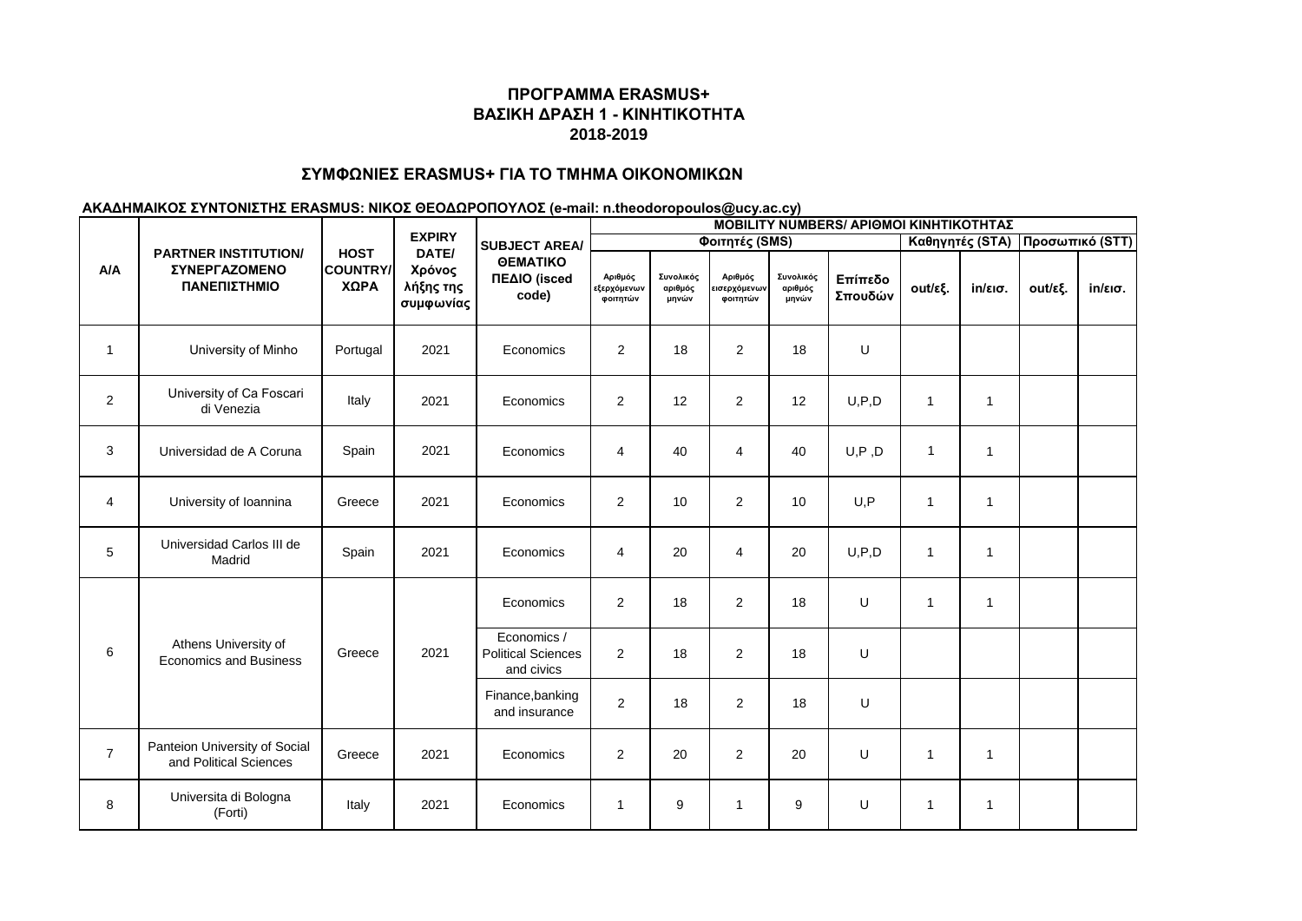## **ΣΥΜΦΩΝΙΕΣ ERASMUS+ ΓΙΑ ΤΟ ΤΜΗΜΑ ΟΙΚΟΝΟΜΙΚΩΝ**

|                | <b>PARTNER INSTITUTION/</b><br>ΣΥΝΕΡΓΑΖΟΜΕΝΟ<br>ΠΑΝΕΠΙΣΤΗΜΙΟ | <b>HOST</b><br><b>COUNTRY/</b><br>ΧΩΡΑ | <b>EXPIRY</b><br>DATE/<br>Χρόνος<br>λήξης της<br>συμφωνίας | <b>SUBJECT AREA/</b><br><b>OEMATIKO</b><br>ΠΕΔΙΟ (isced<br>code) | <b>ΜΟΒΙLITY NUMBERS/ ΑΡΙΘΜΟΙ ΚΙΝΗΤΙΚΟΤΗΤΑΣ</b> |                               |                                     |                               |                    |              |                                 |         |                   |  |  |
|----------------|--------------------------------------------------------------|----------------------------------------|------------------------------------------------------------|------------------------------------------------------------------|------------------------------------------------|-------------------------------|-------------------------------------|-------------------------------|--------------------|--------------|---------------------------------|---------|-------------------|--|--|
|                |                                                              |                                        |                                                            |                                                                  |                                                |                               | Φοιτητές (SMS)                      |                               |                    |              | Καθηγητές (STA) Προσωπικό (STT) |         |                   |  |  |
| A/A            |                                                              |                                        |                                                            |                                                                  | Αριθμός<br>εξερχόμενων<br>φοιτητών             | Συνολικός<br>αριθμός<br>μηνών | Αριθμός<br>εισερχόμενων<br>φοιτητών | Συνολικός<br>αριθμός<br>μηνών | Επίπεδο<br>Σπουδών | out/εξ.      | $in/\epsilon$ ισ.               | out/εξ. | $in/\epsilon$ ισ. |  |  |
| $\mathbf{1}$   | University of Minho                                          | Portugal                               | 2021                                                       | Economics                                                        | $\overline{2}$                                 | 18                            | 2                                   | 18                            | $\mathsf U$        |              |                                 |         |                   |  |  |
| $\overline{2}$ | University of Ca Foscari<br>di Venezia                       | Italy                                  | 2021                                                       | Economics                                                        | $\overline{2}$                                 | 12                            | $\overline{2}$                      | 12                            | U, P, D            | $\mathbf{1}$ | $\mathbf{1}$                    |         |                   |  |  |
| 3              | Universidad de A Coruna                                      | Spain                                  | 2021                                                       | Economics                                                        | $\overline{4}$                                 | 40                            | 4                                   | 40                            | U, P, D            | $\mathbf{1}$ | $\mathbf{1}$                    |         |                   |  |  |
| 4              | University of Ioannina                                       | Greece                                 | 2021                                                       | Economics                                                        | $\overline{c}$                                 | 10                            | 2                                   | 10                            | U, P               | $\mathbf{1}$ | 1                               |         |                   |  |  |
| 5              | Universidad Carlos III de<br>Madrid                          | Spain                                  | 2021                                                       | Economics                                                        | $\overline{4}$                                 | 20                            | $\overline{4}$                      | 20                            | U, P, D            | $\mathbf{1}$ | $\mathbf{1}$                    |         |                   |  |  |
|                | Athens University of<br><b>Economics and Business</b>        | Greece                                 | 2021                                                       | Economics                                                        | $\overline{2}$                                 | 18                            | 2                                   | 18                            | U                  | $\mathbf{1}$ | $\mathbf{1}$                    |         |                   |  |  |
| 6              |                                                              |                                        |                                                            | Economics /<br><b>Political Sciences</b><br>and civics           | $\overline{2}$                                 | 18                            | 2                                   | 18                            | U                  |              |                                 |         |                   |  |  |
|                |                                                              |                                        |                                                            | Finance, banking<br>and insurance                                | $\overline{2}$                                 | 18                            | 2                                   | 18                            | U                  |              |                                 |         |                   |  |  |
| $\overline{7}$ | Panteion University of Social<br>and Political Sciences      | Greece                                 | 2021                                                       | Economics                                                        | $\overline{2}$                                 | 20                            | 2                                   | 20                            | U                  | $\mathbf{1}$ | $\mathbf{1}$                    |         |                   |  |  |
| 8              | Universita di Bologna<br>(Forti)                             | Italy                                  | 2021                                                       | Economics                                                        | $\mathbf{1}$                                   | 9                             | $\mathbf{1}$                        | 9                             | U                  | $\mathbf{1}$ | 1                               |         |                   |  |  |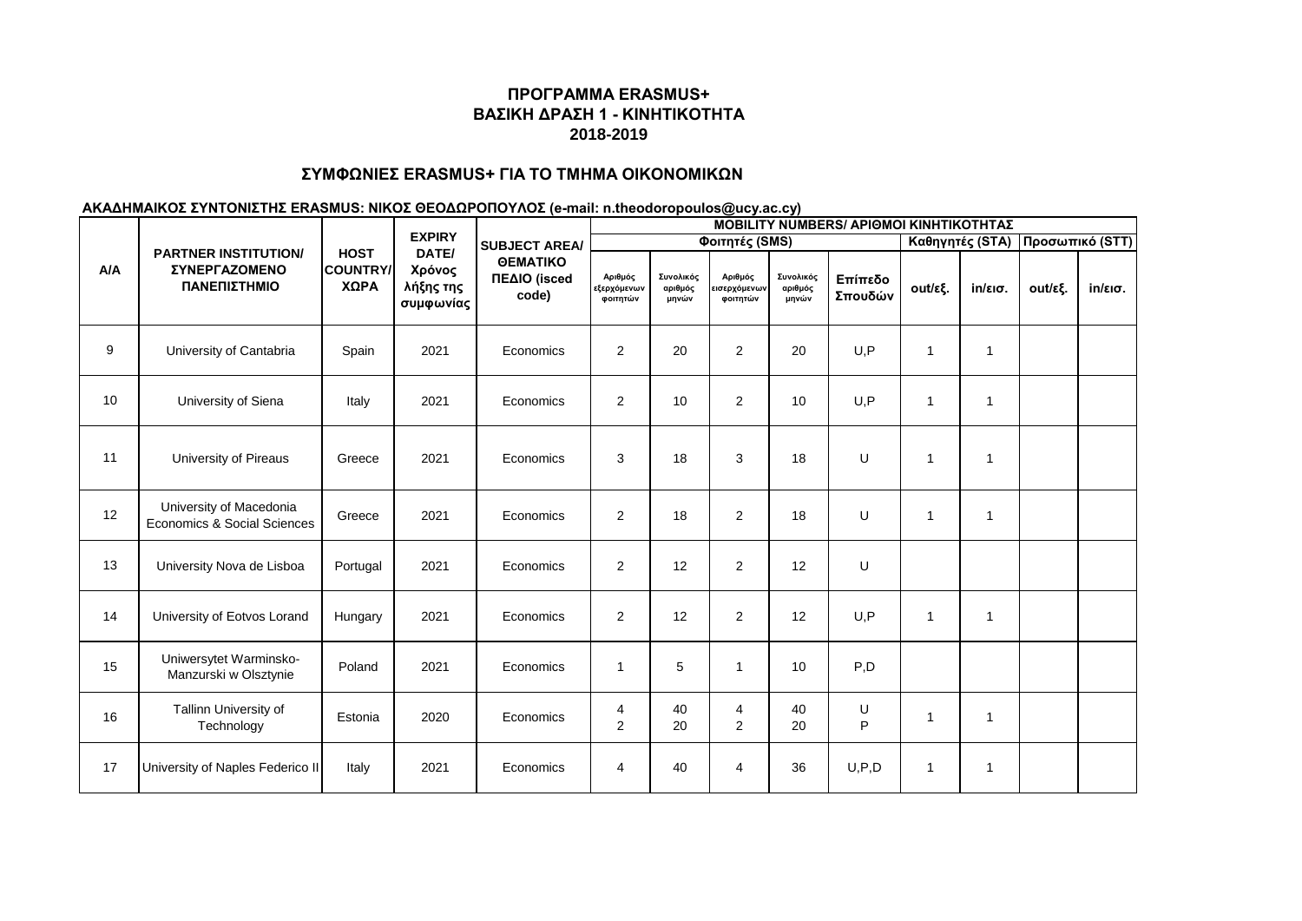## **ΣΥΜΦΩΝΙΕΣ ERASMUS+ ΓΙΑ ΤΟ ΤΜΗΜΑ ΟΙΚΟΝΟΜΙΚΩΝ**

|     | <b>PARTNER INSTITUTION/</b><br>ΣΥΝΕΡΓΑΖΟΜΕΝΟ<br>ΠΑΝΕΠΙΣΤΗΜΙΟ | <b>HOST</b><br><b>COUNTRY/</b><br>ΧΩΡΑ | <b>EXPIRY</b><br>DATE/<br>Χρόνος<br>λήξης της<br>συμφωνίας | <b>SUBJECT AREA/</b><br><b>OEMATIKO</b><br>ΠΕΔΙΟ (isced<br>code) | <b>MOBILITY NUMBERS/ APIOMOI KINHTIKOTHTAZ</b> |                               |                                     |                               |                    |              |                   |         |                   |  |  |
|-----|--------------------------------------------------------------|----------------------------------------|------------------------------------------------------------|------------------------------------------------------------------|------------------------------------------------|-------------------------------|-------------------------------------|-------------------------------|--------------------|--------------|-------------------|---------|-------------------|--|--|
|     |                                                              |                                        |                                                            |                                                                  |                                                |                               | Φοιτητές (SMS)                      |                               | Καθηγητές (STA)    |              | Προσωπικό (STT)   |         |                   |  |  |
| A/A |                                                              |                                        |                                                            |                                                                  | Αριθμός<br>εξερχόμενων<br>φοιτητών             | Συνολικός<br>αριθμός<br>μηνών | Αριθμός<br>εισερχόμενων<br>φοιτητών | Συνολικός<br>αριθμός<br>μηνών | Επίπεδο<br>Σπουδών | out/εξ.      | $in/\epsilon$ ισ. | out/εξ. | $in/\epsilon$ ισ. |  |  |
| 9   | University of Cantabria                                      | Spain                                  | 2021                                                       | Economics                                                        | $\overline{a}$                                 | 20                            | 2                                   | 20                            | U, P               | $\mathbf{1}$ | 1                 |         |                   |  |  |
| 10  | University of Siena                                          | Italy                                  | 2021                                                       | Economics                                                        | $\overline{a}$                                 | 10                            | $\overline{2}$                      | 10                            | U, P               | $\mathbf{1}$ | $\mathbf{1}$      |         |                   |  |  |
| 11  | University of Pireaus                                        | Greece                                 | 2021                                                       | Economics                                                        | 3                                              | 18                            | 3                                   | 18                            | U                  | $\mathbf{1}$ | 1                 |         |                   |  |  |
| 12  | University of Macedonia<br>Economics & Social Sciences       | Greece                                 | 2021                                                       | Economics                                                        | $\overline{2}$                                 | 18                            | 2                                   | 18                            | U                  | $\mathbf{1}$ | $\mathbf 1$       |         |                   |  |  |
| 13  | University Nova de Lisboa                                    | Portugal                               | 2021                                                       | Economics                                                        | $\overline{a}$                                 | 12                            | 2                                   | 12                            | U                  |              |                   |         |                   |  |  |
| 14  | University of Eotvos Lorand                                  | Hungary                                | 2021                                                       | Economics                                                        | $\overline{a}$                                 | 12                            | 2                                   | 12                            | U, P               | $\mathbf{1}$ | $\mathbf{1}$      |         |                   |  |  |
| 15  | Uniwersytet Warminsko-<br>Manzurski w Olsztynie              | Poland                                 | 2021                                                       | Economics                                                        | $\mathbf{1}$                                   | 5                             | $\overline{1}$                      | 10                            | P,D                |              |                   |         |                   |  |  |
| 16  | Tallinn University of<br>Technology                          | Estonia                                | 2020                                                       | Economics                                                        | 4<br>$\overline{c}$                            | 40<br>20                      | $\overline{4}$<br>2                 | 40<br>20                      | U<br>$\mathsf{P}$  | $\mathbf{1}$ | 1                 |         |                   |  |  |
| 17  | University of Naples Federico II                             | Italy                                  | 2021                                                       | Economics                                                        | $\overline{\mathbf{4}}$                        | 40                            | $\overline{4}$                      | 36                            | U, P, D            | $\mathbf{1}$ | -1                |         |                   |  |  |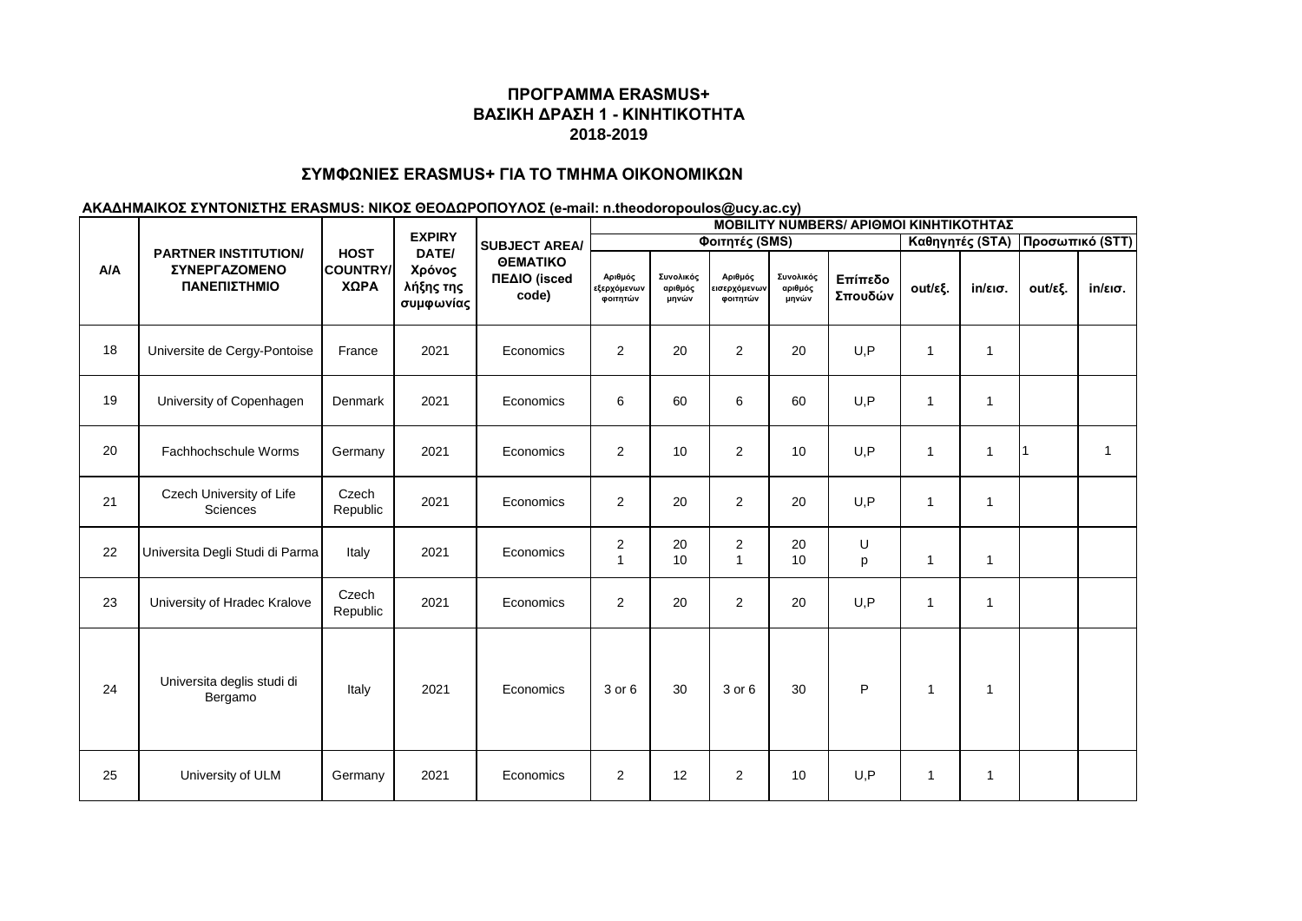## **ΣΥΜΦΩΝΙΕΣ ERASMUS+ ΓΙΑ ΤΟ ΤΜΗΜΑ ΟΙΚΟΝΟΜΙΚΩΝ**

| A/A |                                                                     | <b>HOST</b><br><b>COUNTRY/</b><br>ΧΩΡΑ | <b>EXPIRY</b><br>DATE/<br>Χρόνος<br>λήξης της<br>συμφωνίας | <b>SUBJECT AREA/</b><br><b>OEMATIKO</b><br>ΠΕΔΙΟ (isced<br>code) | <b>MOBILITY NUMBERS/ APIOMOI KINHTIKOTHTAZ</b> |                               |                                     |                               |                    |                 |                   |         |                   |  |  |
|-----|---------------------------------------------------------------------|----------------------------------------|------------------------------------------------------------|------------------------------------------------------------------|------------------------------------------------|-------------------------------|-------------------------------------|-------------------------------|--------------------|-----------------|-------------------|---------|-------------------|--|--|
|     |                                                                     |                                        |                                                            |                                                                  |                                                | Φοιτητές (SMS)                |                                     |                               | Καθηγητές (STA)    | Προσωπικό (STT) |                   |         |                   |  |  |
|     | <b>PARTNER INSTITUTION/</b><br><b>ΣΥΝΕΡΓΑΖΟΜΕΝΟ</b><br>ΠΑΝΕΠΙΣΤΗΜΙΟ |                                        |                                                            |                                                                  | Αριθμός<br>εξερχόμενων<br>φοιτητών             | Συνολικός<br>αριθμός<br>μηνών | Αριθμός<br>εισερχόμενων<br>φοιτητών | Συνολικός<br>αριθμός<br>μηνών | Επίπεδο<br>Σπουδών | out/εξ.         | $in/\epsilon$ ισ. | out/εξ. | $in/\epsilon$ ισ. |  |  |
| 18  | Universite de Cergy-Pontoise                                        | France                                 | 2021                                                       | Economics                                                        | $\overline{2}$                                 | 20                            | $\overline{2}$                      | 20                            | U, P               | $\mathbf{1}$    | $\mathbf 1$       |         |                   |  |  |
| 19  | University of Copenhagen                                            | Denmark                                | 2021                                                       | Economics                                                        | 6                                              | 60                            | 6                                   | 60                            | U, P               | $\mathbf{1}$    | $\mathbf{1}$      |         |                   |  |  |
| 20  | Fachhochschule Worms                                                | Germany                                | 2021                                                       | Economics                                                        | $\overline{2}$                                 | 10                            | $\overline{2}$                      | 10                            | U, P               | $\mathbf{1}$    | 1                 |         | $\overline{1}$    |  |  |
| 21  | Czech University of Life<br>Sciences                                | Czech<br>Republic                      | 2021                                                       | Economics                                                        | $\overline{2}$                                 | 20                            | $\overline{2}$                      | 20                            | U, P               | $\mathbf{1}$    | 1                 |         |                   |  |  |
| 22  | Universita Degli Studi di Parma                                     | Italy                                  | 2021                                                       | Economics                                                        | 2<br>$\mathbf{1}$                              | 20<br>10                      | $\overline{2}$<br>$\mathbf{1}$      | 20<br>10                      | U<br>p             | 1               | $\mathbf{1}$      |         |                   |  |  |
| 23  | University of Hradec Kralove                                        | Czech<br>Republic                      | 2021                                                       | Economics                                                        | $\overline{2}$                                 | 20                            | $\overline{2}$                      | 20                            | U, P               | $\mathbf{1}$    | 1                 |         |                   |  |  |
| 24  | Universita deglis studi di<br>Bergamo                               | Italy                                  | 2021                                                       | Economics                                                        | 3 or 6                                         | 30                            | 3 or 6                              | 30                            | $\mathsf{P}$       | $\mathbf{1}$    | $\mathbf{1}$      |         |                   |  |  |
| 25  | University of ULM                                                   | Germany                                | 2021                                                       | Economics                                                        | $\overline{2}$                                 | 12                            | $\overline{2}$                      | 10                            | U, P               | $\mathbf{1}$    | $\mathbf{1}$      |         |                   |  |  |